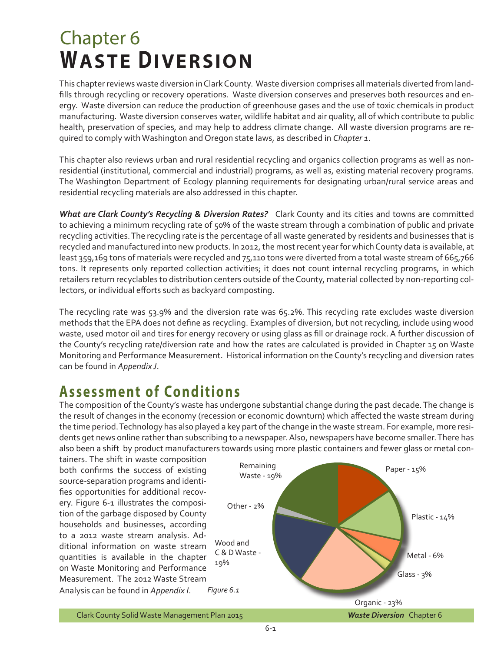## Chapter 6 **WASTE DIVERSION**

This chapter reviews waste diversion in Clark County. Waste diversion comprises all materials diverted from landfills through recycling or recovery operations. Waste diversion conserves and preserves both resources and energy. Waste diversion can reduce the production of greenhouse gases and the use of toxic chemicals in product manufacturing. Waste diversion conserves water, wildlife habitat and air quality, all of which contribute to public health, preservation of species, and may help to address climate change. All waste diversion programs are required to comply with Washington and Oregon state laws, as described in *Chapter 1*.

This chapter also reviews urban and rural residential recycling and organics collection programs as well as nonresidential (institutional, commercial and industrial) programs, as well as, existing material recovery programs. The Washington Department of Ecology planning requirements for designating urban/rural service areas and residential recycling materials are also addressed in this chapter.

*What are Clark County's Recycling & Diversion Rates?* Clark County and its cities and towns are committed to achieving a minimum recycling rate of 50% of the waste stream through a combination of public and private recycling activities. The recycling rate is the percentage of all waste generated by residents and businesses that is recycled and manufactured into new products. In 2012, the most recent year for which County data is available, at least 359,169 tons of materials were recycled and 75,110 tons were diverted from a total waste stream of 665,766 tons. It represents only reported collection activities; it does not count internal recycling programs, in which retailers return recyclables to distribution centers outside of the County, material collected by non-reporting collectors, or individual efforts such as backyard composting.

The recycling rate was 53.9% and the diversion rate was 65.2%. This recycling rate excludes waste diversion methods that the EPA does not define as recycling. Examples of diversion, but not recycling, include using wood waste, used motor oil and tires for energy recovery or using glass as fill or drainage rock. A further discussion of the County's recycling rate/diversion rate and how the rates are calculated is provided in Chapter 15 on Waste Monitoring and Performance Measurement. Historical information on the County's recycling and diversion rates can be found in *Appendix J*.

## **Assessment of Conditions**

The composition of the County's waste has undergone substantial change during the past decade. The change is the result of changes in the economy (recession or economic downturn) which affected the waste stream during the time period. Technology has also played a key part of the change in the waste stream. For example, more residents get news online rather than subscribing to a newspaper. Also, newspapers have become smaller. There has also been a shift by product manufacturers towards using more plastic containers and fewer glass or metal con-

tainers. The shift in waste composition both confirms the success of existing source-separation programs and identifies opportunities for additional recovery. Figure 6-1 illustrates the composition of the garbage disposed by County households and businesses, according to a 2012 waste stream analysis. Additional information on waste stream quantities is available in the chapter on Waste Monitoring and Performance Measurement. The 2012 Waste Stream



Analysis can be found in *Appendix I*.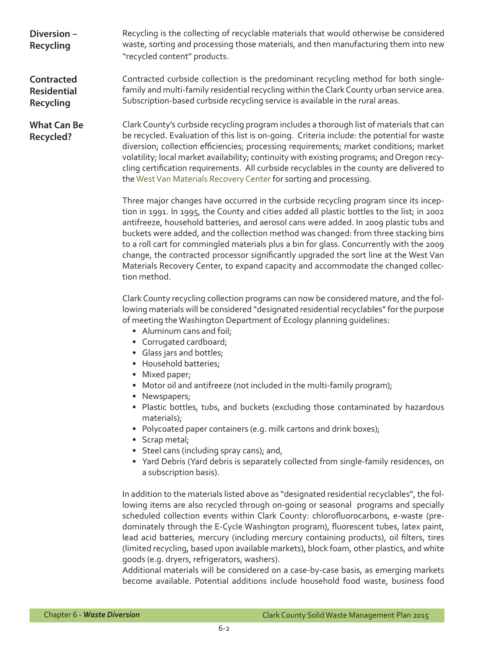**Diversion – Recycling Contracted Residential Recycling** Recycling is the collecting of recyclable materials that would otherwise be considered waste, sorting and processing those materials, and then manufacturing them into new "recycled content" products. Contracted curbside collection is the predominant recycling method for both singlefamily and multi-family residential recycling within the Clark County urban service area. Subscription-based curbside recycling service is available in the rural areas.

**What Can Be Recycled?**

Clark County's curbside recycling program includes a thorough list of materials that can be recycled. Evaluation of this list is on-going. Criteria include: the potential for waste diversion; collection efficiencies; processing requirements; market conditions; market volatility; local market availability; continuity with existing programs; and Oregon recycling certification requirements. All curbside recyclables in the county are delivered to the [West Van Materials Recovery Center](http://www.clark.wa.gov/recycle/disposal/selfhaul.html) for sorting and processing.

Three major changes have occurred in the curbside recycling program since its inception in 1991. In 1995, the County and cities added all plastic bottles to the list; in 2002 antifreeze, household batteries, and aerosol cans were added. In 2009 plastic tubs and buckets were added, and the collection method was changed: from three stacking bins to a roll cart for commingled materials plus a bin for glass. Concurrently with the 2009 change, the contracted processor significantly upgraded the sort line at the West Van Materials Recovery Center, to expand capacity and accommodate the changed collection method.

Clark County recycling collection programs can now be considered mature, and the following materials will be considered "designated residential recyclables" for the purpose of meeting the Washington Department of Ecology planning guidelines:

- Aluminum cans and foil;
- Corrugated cardboard;
- Glass jars and bottles;
- Household batteries;
- Mixed paper;
- Motor oil and antifreeze (not included in the multi-family program);
- Newspapers;
- Plastic bottles, tubs, and buckets (excluding those contaminated by hazardous materials);
- Polycoated paper containers (e.g. milk cartons and drink boxes);
- Scrap metal;
- Steel cans (including spray cans); and,
- Yard Debris (Yard debris is separately collected from single-family residences, on a subscription basis).

In addition to the materials listed above as "designated residential recyclables", the following items are also recycled through on-going or seasonal programs and specially scheduled collection events within Clark County: chlorofluorocarbons, e-waste (predominately through the E-Cycle Washington program), fluorescent tubes, latex paint, lead acid batteries, mercury (including mercury containing products), oil filters, tires (limited recycling, based upon available markets), block foam, other plastics, and white goods (e.g. dryers, refrigerators, washers).

Additional materials will be considered on a case-by-case basis, as emerging markets become available. Potential additions include household food waste, business food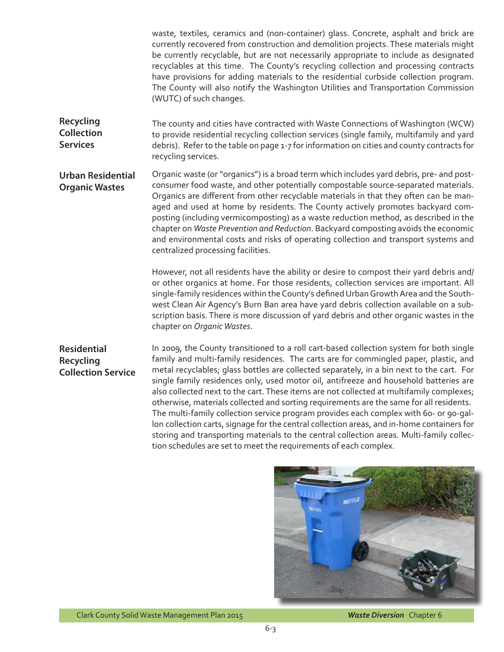waste, textiles, ceramics and (non-container) glass. Concrete, asphalt and brick are currently recovered from construction and demolition projects. These materials might be currently recyclable, but are not necessarily appropriate to include as designated recyclables at this time. The County's recycling collection and processing contracts have provisions for adding materials to the residential curbside collection program. The County will also notify the Washington Utilities and Transportation Commission (WUTC) of such changes.

**Recycling Collection Services**  The county and cities have contracted with Waste Connections of Washington (WCW) to provide residential recycling collection services (single family, multifamily and yard debris). Refer to the table on page 1-7 for information on cities and county contracts for recycling services.

**Urban Residential Organic Wastes** Organic waste (or "organics") is a broad term which includes yard debris, pre- and postconsumer food waste, and other potentially compostable source-separated materials. Organics are different from other recyclable materials in that they often can be managed and used at home by residents. The County actively promotes backyard composting (including vermicomposting) as a waste reduction method, as described in the chapter on *Waste Prevention and Reduction*. Backyard composting avoids the economic and environmental costs and risks of operating collection and transport systems and centralized processing facilities.

> However, not all residents have the ability or desire to compost their yard debris and/ or other organics at home. For those residents, collection services are important. All single-family residences within the County's defined Urban Growth Area and the Southwest Clean Air Agency's Burn Ban area have yard debris collection available on a subscription basis. There is more discussion of yard debris and other organic wastes in the chapter on *Organic Wastes*.

**Residential Recycling Collection Service**

In 2009, the County transitioned to a roll cart-based collection system for both single family and multi-family residences. The carts are for commingled paper, plastic, and metal recyclables; glass bottles are collected separately, in a bin next to the cart. For single family residences only, used motor oil, antifreeze and household batteries are also collected next to the cart. These items are not collected at multifamily complexes; otherwise, materials collected and sorting requirements are the same for all residents. The multi-family collection service program provides each complex with 60- or 90-gallon collection carts, signage for the central collection areas, and in-home containers for storing and transporting materials to the central collection areas. Multi-family collection schedules are set to meet the requirements of each complex.



Clark County Solid Waste Management Plan 2015

*Waste Diversion* Chapter 6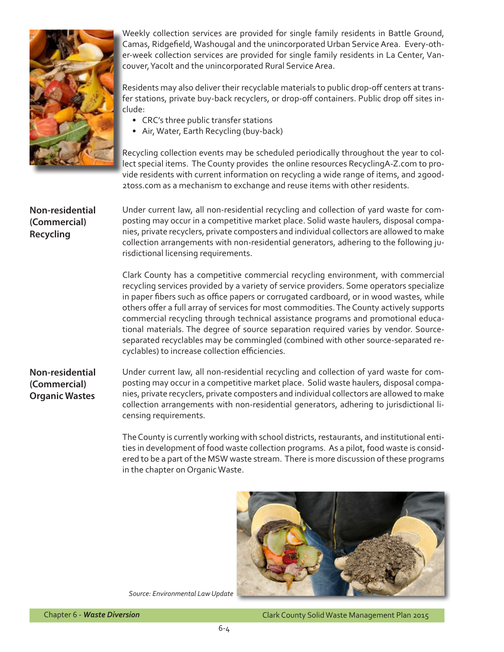

Weekly collection services are provided for single family residents in Battle Ground, Camas, Ridgefield, Washougal and the unincorporated Urban Service Area. Every-other-week collection services are provided for single family residents in La Center, Vancouver, Yacolt and the unincorporated Rural Service Area.

Residents may also deliver their recyclable materials to public drop-off centers at transfer stations, private buy-back recyclers, or drop-off containers. Public drop off sites include:

- CRC's three public transfer stations
- Air, Water, Earth Recycling (buy-back)

Recycling collection events may be scheduled periodically throughout the year to collect special items. The County provides the online resources RecyclingA-Z.com to provide residents with current information on recycling a wide range of items, and 2good-2toss.com as a mechanism to exchange and reuse items with other residents.

**Non-residential (Commercial) Recycling**

Under current law, all non-residential recycling and collection of yard waste for composting may occur in a competitive market place. Solid waste haulers, disposal companies, private recyclers, private composters and individual collectors are allowed to make collection arrangements with non-residential generators, adhering to the following jurisdictional licensing requirements.

Clark County has a competitive commercial recycling environment, with commercial recycling services provided by a variety of service providers. Some operators specialize in paper fibers such as office papers or corrugated cardboard, or in wood wastes, while others offer a full array of services for most commodities. The County actively supports commercial recycling through technical assistance programs and promotional educational materials. The degree of source separation required varies by vendor. Sourceseparated recyclables may be commingled (combined with other source-separated recyclables) to increase collection efficiencies.

**Non-residential (Commercial) Organic Wastes**

Under current law, all non-residential recycling and collection of yard waste for composting may occur in a competitive market place. Solid waste haulers, disposal companies, private recyclers, private composters and individual collectors are allowed to make collection arrangements with non-residential generators, adhering to jurisdictional licensing requirements.

The County is currently working with school districts, restaurants, and institutional entities in development of food waste collection programs. As a pilot, food waste is considered to be a part of the MSW waste stream. There is more discussion of these programs in the chapter on Organic Waste.



*Source: Environmental Law Update*

Clark County Solid Waste Management Plan 2015